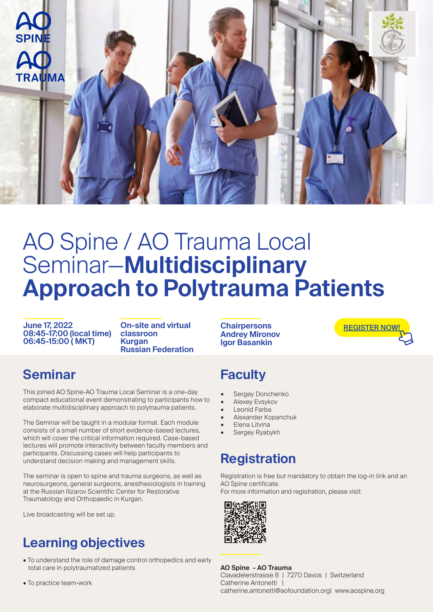

# AO Spine / AO Trauma Local Seminar—**Multidisciplinary Approach to Polytrauma Patients**

**June 17, 2022 08:45-17:00 (local time) 06:45-15:00 ( MKT)**

**On-site and virtual classroon Kurgan Russian Federation**

#### **Seminar**

This joined AO Spine-AO Trauma Local Seminar is a one-day compact educational event demonstrating to participants how to elaborate multidisciplinary approach to polytrauma patients.

The Seminar will be taught in a modular format. Each module consists of a small number of short evidence-based lectures, which will cover the critical information required. Case-based lectures will promote interactivity between faculty members and participants. Discussing cases will help participants to understand decision making and management skills.

The seminar is open to spine and trauma surgeons, as well as neurosurgeons, general surgeons, anesthesiologists in training at the Russian Ilizarov Scientific Center for Restorative Traumatology and Orthopaedic in Kurgan.

Live broadcasting will be set up.

## **Learning objectives**

- To understand the role of damage control orthopedics and early total care in polytraumatized patients
- To practice team-work

**Chairpersons Andrey Mironov Igor Basankin**

**[REGISTER NOW!](https://aofoundation.force.com/eventapi__router?event=a1R08000009VbvQ&site=a0a1p00000a7dim)**

#### **Faculty**

- Sergey Donchenko
- Alexey Evsykov
- Leonid Farba
- Alexander Kopanchuk
- Elena Litvina
- Sergey Ryabykh

#### **Registration**

Registration is free but mandatory to obtain the log-in link and an AO Spine certificate.

For more information and registration, please visit:



**AO Spine - AO Trauma** Clavadelerstrasse 8 | 7270 Davos | Switzerland Catherine Antonetti | catherine.antonetti@aofoundation.org| www.aospine.org